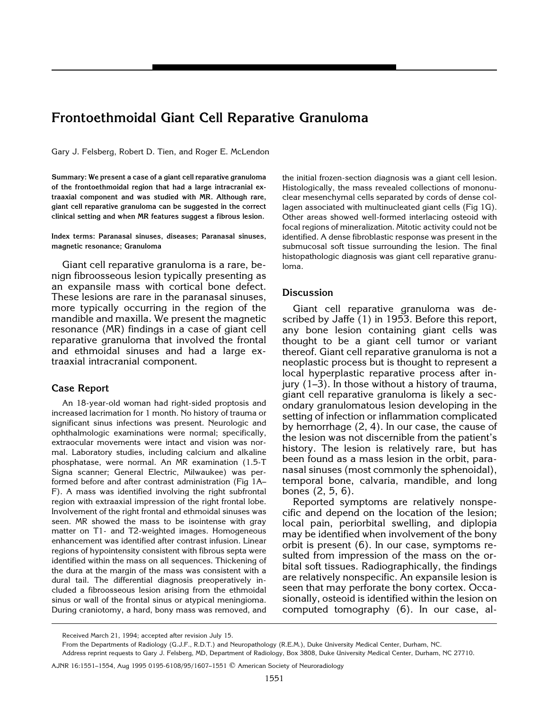# **Frontoethmoidal Giant Cell Reparative Granuloma**

Gary J. Felsberg, Robert D. Tien, and Roger E. McLendon

**Summary: We present a case of a giant cell reparative granuloma of the frontoethmoidal region that had a large intracranial extraaxial component and was studied with MR. Although rare, giant cell reparative granuloma can be suggested in the correct clinical setting and when MR features suggest a fibrous lesion.**

**Index terms: Paranasal sinuses, diseases; Paranasal sinuses, magnetic resonance; Granuloma**

Giant cell reparative granuloma is a rare, benign fibroosseous lesion typically presenting as an expansile mass with cortical bone defect. These lesions are rare in the paranasal sinuses, more typically occurring in the region of the mandible and maxilla. We present the magnetic resonance (MR) findings in a case of giant cell reparative granuloma that involved the frontal and ethmoidal sinuses and had a large extraaxial intracranial component.

### **Case Report**

An 18-year-old woman had right-sided proptosis and increased lacrimation for 1 month. No history of trauma or significant sinus infections was present. Neurologic and ophthalmologic examinations were normal; specifically, extraocular movements were intact and vision was normal. Laboratory studies, including calcium and alkaline phosphatase, were normal. An MR examination (1.5-T Signa scanner; General Electric, Milwaukee) was performed before and after contrast administration (Fig 1A– F). A mass was identified involving the right subfrontal region with extraaxial impression of the right frontal lobe. Involvement of the right frontal and ethmoidal sinuses was seen. MR showed the mass to be isointense with gray matter on T1- and T2-weighted images. Homogeneous enhancement was identified after contrast infusion. Linear regions of hypointensity consistent with fibrous septa were identified within the mass on all sequences. Thickening of the dura at the margin of the mass was consistent with a dural tail. The differential diagnosis preoperatively included a fibroosseous lesion arising from the ethmoidal sinus or wall of the frontal sinus or atypical meningioma. During craniotomy, a hard, bony mass was removed, and

the initial frozen-section diagnosis was a giant cell lesion. Histologically, the mass revealed collections of mononuclear mesenchymal cells separated by cords of dense collagen associated with multinucleated giant cells (Fig 1G). Other areas showed well-formed interlacing osteoid with focal regions of mineralization. Mitotic activity could not be identified. A dense fibroblastic response was present in the submucosal soft tissue surrounding the lesion. The final histopathologic diagnosis was giant cell reparative granuloma.

## **Discussion**

Giant cell reparative granuloma was described by Jaffe (1) in 1953. Before this report, any bone lesion containing giant cells was thought to be a giant cell tumor or variant thereof. Giant cell reparative granuloma is not a neoplastic process but is thought to represent a local hyperplastic reparative process after injury (1–3). In those without a history of trauma, giant cell reparative granuloma is likely a secondary granulomatous lesion developing in the setting of infection or inflammation complicated by hemorrhage (2, 4). In our case, the cause of the lesion was not discernible from the patient's history. The lesion is relatively rare, but has been found as a mass lesion in the orbit, paranasal sinuses (most commonly the sphenoidal), temporal bone, calvaria, mandible, and long bones (2, 5, 6).

Reported symptoms are relatively nonspecific and depend on the location of the lesion; local pain, periorbital swelling, and diplopia may be identified when involvement of the bony orbit is present (6). In our case, symptoms resulted from impression of the mass on the orbital soft tissues. Radiographically, the findings are relatively nonspecific. An expansile lesion is seen that may perforate the bony cortex. Occasionally, osteoid is identified within the lesion on computed tomography (6). In our case, al-

Received March 21, 1994; accepted after revision July 15.

From the Departments of Radiology (G.J.F., R.D.T.) and Neuropathology (R.E.M.), Duke University Medical Center, Durham, NC.

Address reprint requests to Gary J. Felsberg, MD, Department of Radiology, Box 3808, Duke University Medical Center, Durham, NC 27710.

AJNR 16:1551–1554, Aug 1995 0195-6108/95/1607–1551 q American Society of Neuroradiology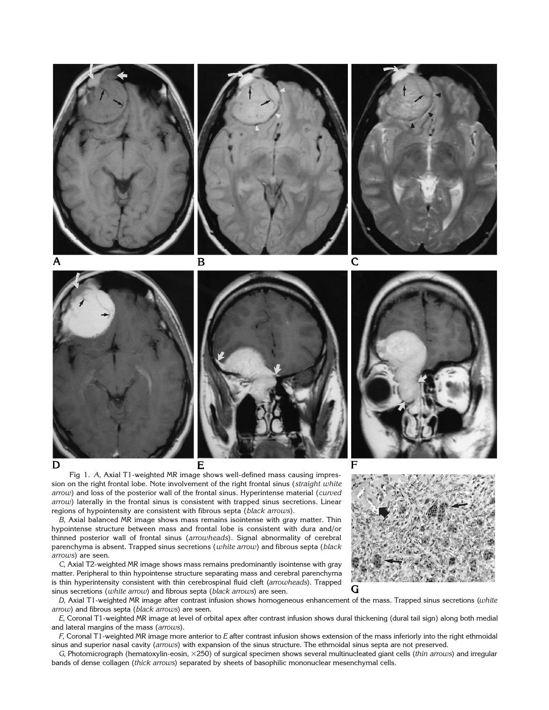

Fig 1. *A*, Axial T1-weighted MR image shows well-defined mass causing impression on the right frontal lobe. Note involvement of the right frontal sinus (*straight white arrow*) and loss of the posterior wall of the frontal sinus. Hyperintense material (*curved arrow*) laterally in the frontal sinus is consistent with trapped sinus secretions. Linear regions of hypointensity are consistent with fibrous septa (*black arrows*).

*B*, Axial balanced MR image shows mass remains isointense with gray matter. Thin hypointense structure between mass and frontal lobe is consistent with dura and/or thinned posterior wall of frontal sinus (*arrowheads*). Signal abnormality of cerebral parenchyma is absent. Trapped sinus secretions (*white arrow*) and fibrous septa (*black arrows*) are seen.

*C*, Axial T2-weighted MR image shows mass remains predominantly isointense with gray matter. Peripheral to thin hypointense structure separating mass and cerebral parenchyma is thin hyperintensity consistent with thin cerebrospinal fluid cleft (*arrowheads*). Trapped sinus secretions (*white arrow*) and fibrous septa (*black arrows*) are seen.

*D*, Axial T1-weighted MR image after contrast infusion shows homogeneous enhancement of the mass. Trapped sinus secretions (*white arrow*) and fibrous septa (*black arrows*) are seen.

*E*, Coronal T1-weighted MR image at level of orbital apex after contrast infusion shows dural thickening (dural tail sign) along both medial and lateral margins of the mass (*arrows*).

*F*, Coronal T1-weighted MR image more anterior to *E* after contrast infusion shows extension of the mass inferiorly into the right ethmoidal sinus and superior nasal cavity (*arrows*) with expansion of the sinus structure. The ethmoidal sinus septa are not preserved.

*G*, Photomicrograph (hematoxylin-eosin, 3250) of surgical specimen shows several multinucleated giant cells (*thin arrows*) and irregular bands of dense collagen (*thick arrows*) separated by sheets of basophilic mononuclear mesenchymal cells.



G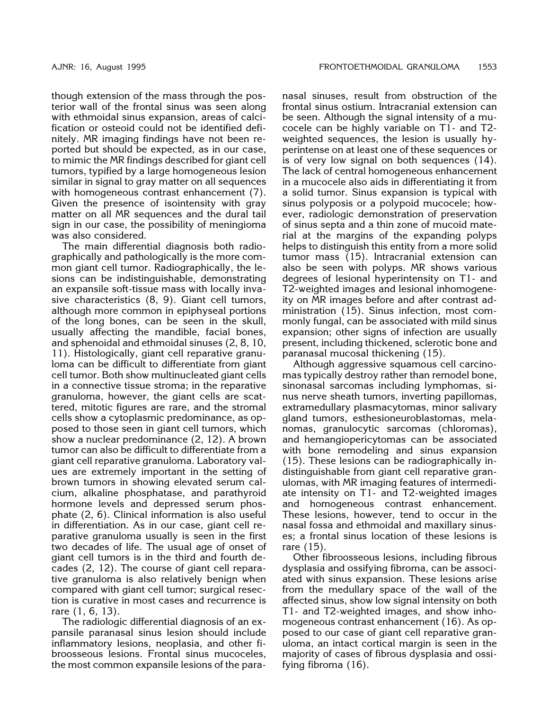though extension of the mass through the posterior wall of the frontal sinus was seen along with ethmoidal sinus expansion, areas of calcification or osteoid could not be identified definitely. MR imaging findings have not been reported but should be expected, as in our case, to mimic the MR findings described for giant cell tumors, typified by a large homogeneous lesion similar in signal to gray matter on all sequences with homogeneous contrast enhancement (7). Given the presence of isointensity with gray matter on all MR sequences and the dural tail sign in our case, the possibility of meningioma was also considered.

The main differential diagnosis both radiographically and pathologically is the more common giant cell tumor. Radiographically, the lesions can be indistinguishable, demonstrating an expansile soft-tissue mass with locally invasive characteristics (8, 9). Giant cell tumors, although more common in epiphyseal portions of the long bones, can be seen in the skull, usually affecting the mandible, facial bones, and sphenoidal and ethmoidal sinuses (2, 8, 10, 11). Histologically, giant cell reparative granuloma can be difficult to differentiate from giant cell tumor. Both show multinucleated giant cells in a connective tissue stroma; in the reparative granuloma, however, the giant cells are scattered, mitotic figures are rare, and the stromal cells show a cytoplasmic predominance, as opposed to those seen in giant cell tumors, which show a nuclear predominance (2, 12). A brown tumor can also be difficult to differentiate from a giant cell reparative granuloma. Laboratory values are extremely important in the setting of brown tumors in showing elevated serum calcium, alkaline phosphatase, and parathyroid hormone levels and depressed serum phosphate (2, 6). Clinical information is also useful in differentiation. As in our case, giant cell reparative granuloma usually is seen in the first two decades of life. The usual age of onset of giant cell tumors is in the third and fourth decades (2, 12). The course of giant cell reparative granuloma is also relatively benign when compared with giant cell tumor; surgical resection is curative in most cases and recurrence is rare (1, 6, 13).

The radiologic differential diagnosis of an expansile paranasal sinus lesion should include inflammatory lesions, neoplasia, and other fibroosseous lesions. Frontal sinus mucoceles, the most common expansile lesions of the paranasal sinuses, result from obstruction of the frontal sinus ostium. Intracranial extension can be seen. Although the signal intensity of a mucocele can be highly variable on T1- and T2 weighted sequences, the lesion is usually hyperintense on at least one of these sequences or is of very low signal on both sequences (14). The lack of central homogeneous enhancement in a mucocele also aids in differentiating it from a solid tumor. Sinus expansion is typical with sinus polyposis or a polypoid mucocele; however, radiologic demonstration of preservation of sinus septa and a thin zone of mucoid material at the margins of the expanding polyps helps to distinguish this entity from a more solid tumor mass (15). Intracranial extension can also be seen with polyps. MR shows various degrees of lesional hyperintensity on T1- and T2-weighted images and lesional inhomogeneity on MR images before and after contrast administration (15). Sinus infection, most commonly fungal, can be associated with mild sinus expansion; other signs of infection are usually present, including thickened, sclerotic bone and paranasal mucosal thickening (15).

Although aggressive squamous cell carcinomas typically destroy rather than remodel bone, sinonasal sarcomas including lymphomas, sinus nerve sheath tumors, inverting papillomas, extramedullary plasmacytomas, minor salivary gland tumors, esthesioneuroblastomas, melanomas, granulocytic sarcomas (chloromas), and hemangiopericytomas can be associated with bone remodeling and sinus expansion (15). These lesions can be radiographically indistinguishable from giant cell reparative granulomas, with MR imaging features of intermediate intensity on T1- and T2-weighted images and homogeneous contrast enhancement. These lesions, however, tend to occur in the nasal fossa and ethmoidal and maxillary sinuses; a frontal sinus location of these lesions is rare (15).

Other fibroosseous lesions, including fibrous dysplasia and ossifying fibroma, can be associated with sinus expansion. These lesions arise from the medullary space of the wall of the affected sinus, show low signal intensity on both T1- and T2-weighted images, and show inhomogeneous contrast enhancement (16). As opposed to our case of giant cell reparative granuloma, an intact cortical margin is seen in the majority of cases of fibrous dysplasia and ossifying fibroma (16).